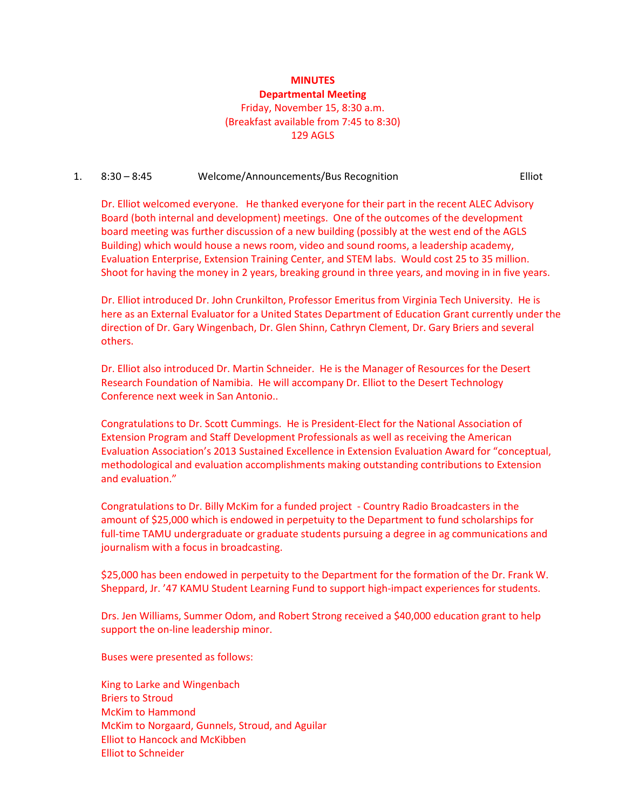## **MINUTES Departmental Meeting** Friday, November 15, 8:30 a.m. (Breakfast available from 7:45 to 8:30) 129 AGLS

#### 1. 8:30 – 8:45 Welcome/Announcements/Bus Recognition Elliot

Dr. Elliot welcomed everyone. He thanked everyone for their part in the recent ALEC Advisory Board (both internal and development) meetings. One of the outcomes of the development board meeting was further discussion of a new building (possibly at the west end of the AGLS Building) which would house a news room, video and sound rooms, a leadership academy, Evaluation Enterprise, Extension Training Center, and STEM labs. Would cost 25 to 35 million. Shoot for having the money in 2 years, breaking ground in three years, and moving in in five years.

Dr. Elliot introduced Dr. John Crunkilton, Professor Emeritus from Virginia Tech University. He is here as an External Evaluator for a United States Department of Education Grant currently under the direction of Dr. Gary Wingenbach, Dr. Glen Shinn, Cathryn Clement, Dr. Gary Briers and several others.

Dr. Elliot also introduced Dr. Martin Schneider. He is the Manager of Resources for the Desert Research Foundation of Namibia. He will accompany Dr. Elliot to the Desert Technology Conference next week in San Antonio..

Congratulations to Dr. Scott Cummings. He is President-Elect for the National Association of Extension Program and Staff Development Professionals as well as receiving the American Evaluation Association's 2013 Sustained Excellence in Extension Evaluation Award for "conceptual, methodological and evaluation accomplishments making outstanding contributions to Extension and evaluation."

Congratulations to Dr. Billy McKim for a funded project - Country Radio Broadcasters in the amount of \$25,000 which is endowed in perpetuity to the Department to fund scholarships for full-time TAMU undergraduate or graduate students pursuing a degree in ag communications and journalism with a focus in broadcasting.

\$25,000 has been endowed in perpetuity to the Department for the formation of the Dr. Frank W. Sheppard, Jr. '47 KAMU Student Learning Fund to support high-impact experiences for students.

Drs. Jen Williams, Summer Odom, and Robert Strong received a \$40,000 education grant to help support the on-line leadership minor.

Buses were presented as follows:

King to Larke and Wingenbach Briers to Stroud McKim to Hammond McKim to Norgaard, Gunnels, Stroud, and Aguilar Elliot to Hancock and McKibben Elliot to Schneider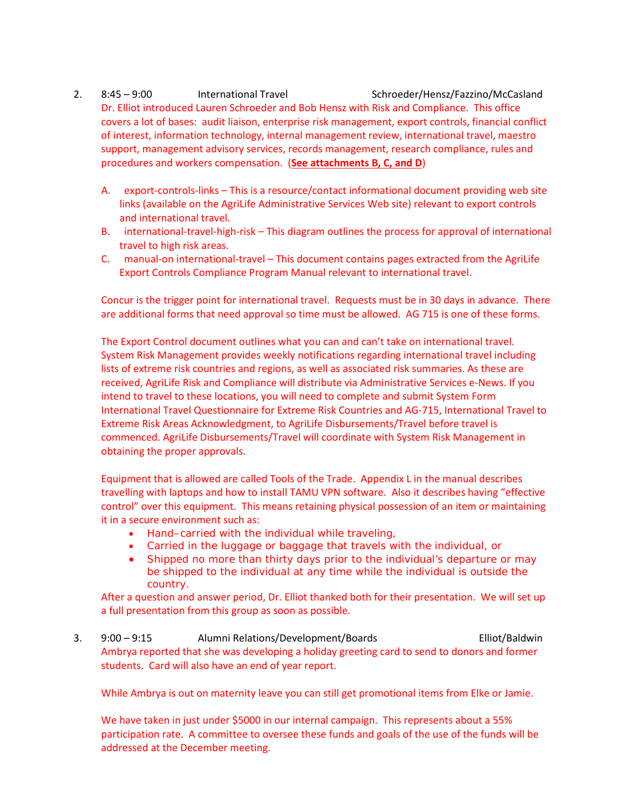- 2. 8:45 9:00 International Travel Schroeder/Hensz/Fazzino/McCasland Dr. Elliot introduced Lauren Schroeder and Bob Hensz with Risk and Compliance. This office covers a lot of bases: audit liaison, enterprise risk management, export controls, financial conflict of interest, information technology, internal management review, international travel, maestro support, management advisory services, records management, research compliance, rules and procedures and workers compensation. (**See attachments B, C, and D**)
	- A. export-controls-links This is a resource/contact informational document providing web site links (available on the AgriLife Administrative Services Web site) relevant to export controls and international travel.
	- B. international-travel-high-risk This diagram outlines the process for approval of international travel to high risk areas.
	- C. manual-on international-travel This document contains pages extracted from the AgriLife Export Controls Compliance Program Manual relevant to international travel.

Concur is the trigger point for international travel. Requests must be in 30 days in advance. There are additional forms that need approval so time must be allowed. AG 715 is one of these forms.

The Export Control document outlines what you can and can't take on international travel. System Risk Management provides weekly notifications regarding international travel including lists of extreme risk countries and regions, as well as associated risk summaries. As these are received, AgriLife Risk and Compliance will distribute via Administrative Services e-News. If you intend to travel to these locations, you will need to complete and submit System Form International Travel Questionnaire for Extreme Risk Countries and AG-715, International Travel to Extreme Risk Areas Acknowledgment, to AgriLife Disbursements/Travel before travel is commenced. AgriLife Disbursements/Travel will coordinate with System Risk Management in obtaining the proper approvals.

Equipment that is allowed are called Tools of the Trade. Appendix L in the manual describes travelling with laptops and how to install TAMU VPN software. Also it describes having "effective control" over this equipment. This means retaining physical possession of an item or maintaining it in a secure environment such as:

- Hand–carried with the individual while traveling,
- Carried in the luggage or baggage that travels with the individual, or
- Shipped no more than thirty days prior to the individual's departure or may be shipped to the individual at any time while the individual is outside the country.

After a question and answer period, Dr. Elliot thanked both for their presentation. We will set up a full presentation from this group as soon as possible.

3. 9:00 – 9:15 Alumni Relations/Development/Boards Elliot/Baldwin Ambrya reported that she was developing a holiday greeting card to send to donors and former students. Card will also have an end of year report.

While Ambrya is out on maternity leave you can still get promotional items from Elke or Jamie.

We have taken in just under \$5000 in our internal campaign. This represents about a 55% participation rate. A committee to oversee these funds and goals of the use of the funds will be addressed at the December meeting.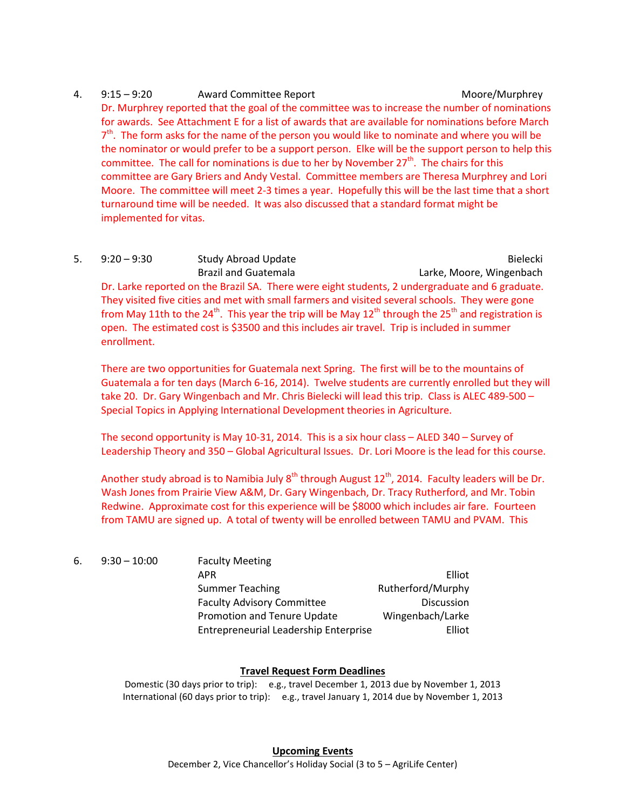## 4. 9:15 – 9:20 Award Committee Report Committee Report Moore/Murphrey Dr. Murphrey reported that the goal of the committee was to increase the number of nominations for awards. See Attachment E for a list of awards that are available for nominations before March  $7<sup>th</sup>$ . The form asks for the name of the person you would like to nominate and where you will be the nominator or would prefer to be a support person. Elke will be the support person to help this committee. The call for nominations is due to her by November  $27<sup>th</sup>$ . The chairs for this committee are Gary Briers and Andy Vestal. Committee members are Theresa Murphrey and Lori Moore. The committee will meet 2-3 times a year. Hopefully this will be the last time that a short turnaround time will be needed. It was also discussed that a standard format might be implemented for vitas.

5. 9:20 – 9:30 Study Abroad Update Bielecki Study Abroad Update Brazil and Guatemala **Larke, Moore, Wingenbach** Dr. Larke reported on the Brazil SA. There were eight students, 2 undergraduate and 6 graduate. They visited five cities and met with small farmers and visited several schools. They were gone from May 11th to the 24<sup>th</sup>. This year the trip will be May 12<sup>th</sup> through the 25<sup>th</sup> and registration is open. The estimated cost is \$3500 and this includes air travel. Trip is included in summer enrollment.

There are two opportunities for Guatemala next Spring. The first will be to the mountains of Guatemala a for ten days (March 6-16, 2014). Twelve students are currently enrolled but they will take 20. Dr. Gary Wingenbach and Mr. Chris Bielecki will lead this trip. Class is ALEC 489-500 – Special Topics in Applying International Development theories in Agriculture.

The second opportunity is May 10-31, 2014. This is a six hour class – ALED 340 – Survey of Leadership Theory and 350 – Global Agricultural Issues. Dr. Lori Moore is the lead for this course.

Another study abroad is to Namibia July  $8<sup>th</sup>$  through August  $12<sup>th</sup>$ , 2014. Faculty leaders will be Dr. Wash Jones from Prairie View A&M, Dr. Gary Wingenbach, Dr. Tracy Rutherford, and Mr. Tobin Redwine. Approximate cost for this experience will be \$8000 which includes air fare. Fourteen from TAMU are signed up. A total of twenty will be enrolled between TAMU and PVAM. This

| 6. | $9:30 - 10:00$ | <b>Faculty Meeting</b>                |                   |
|----|----------------|---------------------------------------|-------------------|
|    |                | APR                                   | Elliot            |
|    |                | <b>Summer Teaching</b>                | Rutherford/Murphy |
|    |                | <b>Faculty Advisory Committee</b>     | <b>Discussion</b> |
|    |                | <b>Promotion and Tenure Update</b>    | Wingenbach/Larke  |
|    |                | Entrepreneurial Leadership Enterprise | Elliot            |

## **Travel Request Form Deadlines**

Domestic (30 days prior to trip): e.g., travel December 1, 2013 due by November 1, 2013 International (60 days prior to trip): e.g., travel January 1, 2014 due by November 1, 2013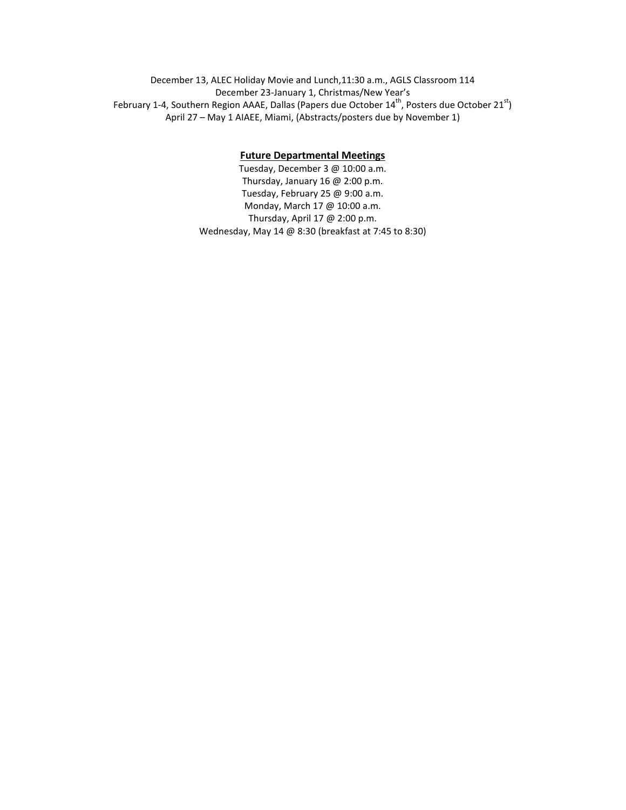December 13, ALEC Holiday Movie and Lunch,11:30 a.m., AGLS Classroom 114 December 23-January 1, Christmas/New Year's February 1-4, Southern Region AAAE, Dallas (Papers due October 14<sup>th</sup>, Posters due October 21<sup>st</sup>) April 27 – May 1 AIAEE, Miami, (Abstracts/posters due by November 1)

### **Future Departmental Meetings**

Tuesday, December 3 @ 10:00 a.m. Thursday, January 16 @ 2:00 p.m. Tuesday, February 25 @ 9:00 a.m. Monday, March 17 @ 10:00 a.m. Thursday, April 17 @ 2:00 p.m. Wednesday, May 14 @ 8:30 (breakfast at 7:45 to 8:30)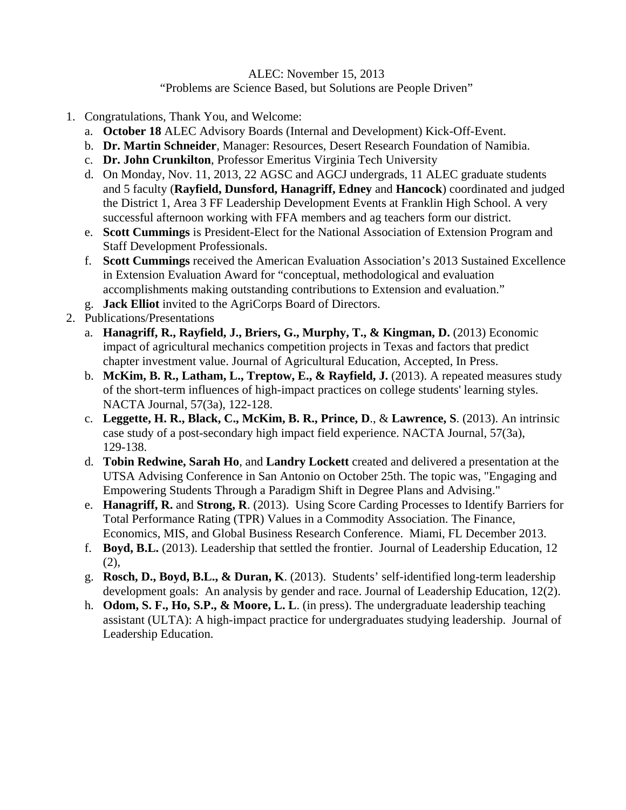## ALEC: November 15, 2013 "Problems are Science Based, but Solutions are People Driven"

- 1. Congratulations, Thank You, and Welcome:
	- a. **October 18** ALEC Advisory Boards (Internal and Development) Kick-Off-Event.
	- b. **Dr. Martin Schneider**, Manager: Resources, Desert Research Foundation of Namibia.
	- c. **Dr. John Crunkilton**, Professor Emeritus Virginia Tech University
	- d. On Monday, Nov. 11, 2013, 22 AGSC and AGCJ undergrads, 11 ALEC graduate students and 5 faculty (**Rayfield, Dunsford, Hanagriff, Edney** and **Hancock**) coordinated and judged the District 1, Area 3 FF Leadership Development Events at Franklin High School. A very successful afternoon working with FFA members and ag teachers form our district.
	- e. **Scott Cummings** is President-Elect for the National Association of Extension Program and Staff Development Professionals.
	- f. **Scott Cummings** received the American Evaluation Association's 2013 Sustained Excellence in Extension Evaluation Award for "conceptual, methodological and evaluation accomplishments making outstanding contributions to Extension and evaluation."
	- g. **Jack Elliot** invited to the AgriCorps Board of Directors.
- 2. Publications/Presentations
	- a. **Hanagriff, R., Rayfield, J., Briers, G., Murphy, T., & Kingman, D.** (2013) Economic impact of agricultural mechanics competition projects in Texas and factors that predict chapter investment value. Journal of Agricultural Education, Accepted, In Press.
	- b. **McKim, B. R., Latham, L., Treptow, E., & Rayfield, J.** (2013). A repeated measures study of the short-term influences of high-impact practices on college students' learning styles. NACTA Journal, 57(3a), 122-128.
	- c. **Leggette, H. R., Black, C., McKim, B. R., Prince, D**., & **Lawrence, S**. (2013). An intrinsic case study of a post-secondary high impact field experience. NACTA Journal, 57(3a), 129-138.
	- d. **Tobin Redwine, Sarah Ho**, and **Landry Lockett** created and delivered a presentation at the UTSA Advising Conference in San Antonio on October 25th. The topic was, "Engaging and Empowering Students Through a Paradigm Shift in Degree Plans and Advising."
	- e. **Hanagriff, R.** and **Strong, R**. (2013). Using Score Carding Processes to Identify Barriers for Total Performance Rating (TPR) Values in a Commodity Association. The Finance, Economics, MIS, and Global Business Research Conference. Miami, FL December 2013.
	- f. **Boyd, B.L.** (2013). Leadership that settled the frontier. Journal of Leadership Education, 12 (2),
	- g. **Rosch, D., Boyd, B.L., & Duran, K**. (2013). Students' self-identified long-term leadership development goals: An analysis by gender and race. Journal of Leadership Education, 12(2).
	- h. **Odom, S. F., Ho, S.P., & Moore, L. L**. (in press). The undergraduate leadership teaching assistant (ULTA): A high-impact practice for undergraduates studying leadership. Journal of Leadership Education.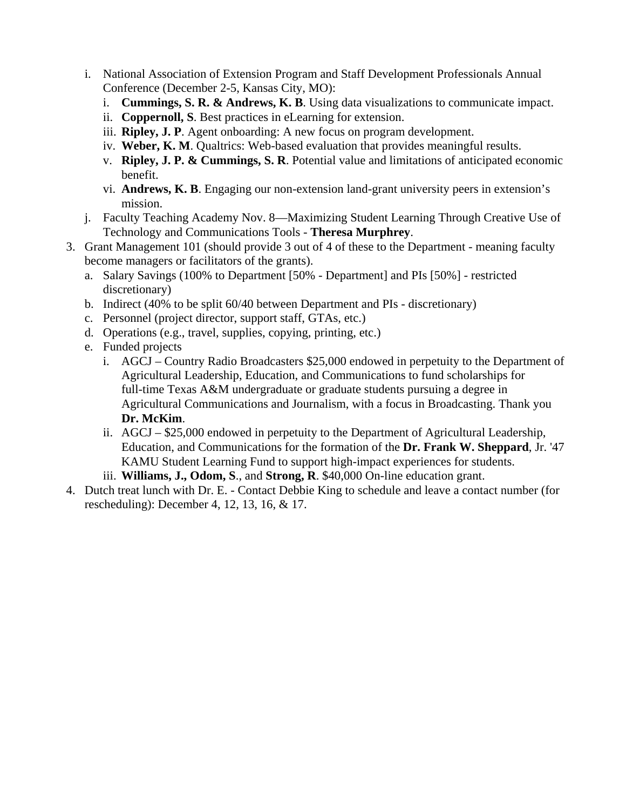- i. National Association of Extension Program and Staff Development Professionals Annual Conference (December 2-5, Kansas City, MO):
	- i. **Cummings, S. R. & Andrews, K. B**. Using data visualizations to communicate impact.
	- ii. **Coppernoll, S**. Best practices in eLearning for extension.
	- iii. **Ripley, J. P**. Agent onboarding: A new focus on program development.
	- iv. **Weber, K. M**. Qualtrics: Web-based evaluation that provides meaningful results.
	- v. **Ripley, J. P. & Cummings, S. R**. Potential value and limitations of anticipated economic benefit.
	- vi. **Andrews, K. B**. Engaging our non-extension land-grant university peers in extension's mission.
- j. Faculty Teaching Academy Nov. 8—Maximizing Student Learning Through Creative Use of Technology and Communications Tools - **Theresa Murphrey**.
- 3. Grant Management 101 (should provide 3 out of 4 of these to the Department meaning faculty become managers or facilitators of the grants).
	- a. Salary Savings (100% to Department [50% Department] and PIs [50%] restricted discretionary)
	- b. Indirect (40% to be split 60/40 between Department and PIs discretionary)
	- c. Personnel (project director, support staff, GTAs, etc.)
	- d. Operations (e.g., travel, supplies, copying, printing, etc.)
	- e. Funded projects
		- i. AGCJ Country Radio Broadcasters \$25,000 endowed in perpetuity to the Department of Agricultural Leadership, Education, and Communications to fund scholarships for full-time Texas A&M undergraduate or graduate students pursuing a degree in Agricultural Communications and Journalism, with a focus in Broadcasting. Thank you **Dr. McKim**.
		- ii. AGCJ \$25,000 endowed in perpetuity to the Department of Agricultural Leadership, Education, and Communications for the formation of the **Dr. Frank W. Sheppard**, Jr. '47 KAMU Student Learning Fund to support high-impact experiences for students.
		- iii. **Williams, J., Odom, S**., and **Strong, R**. \$40,000 On-line education grant.
- 4. Dutch treat lunch with Dr. E. Contact Debbie King to schedule and leave a contact number (for rescheduling): December 4, 12, 13, 16, & 17.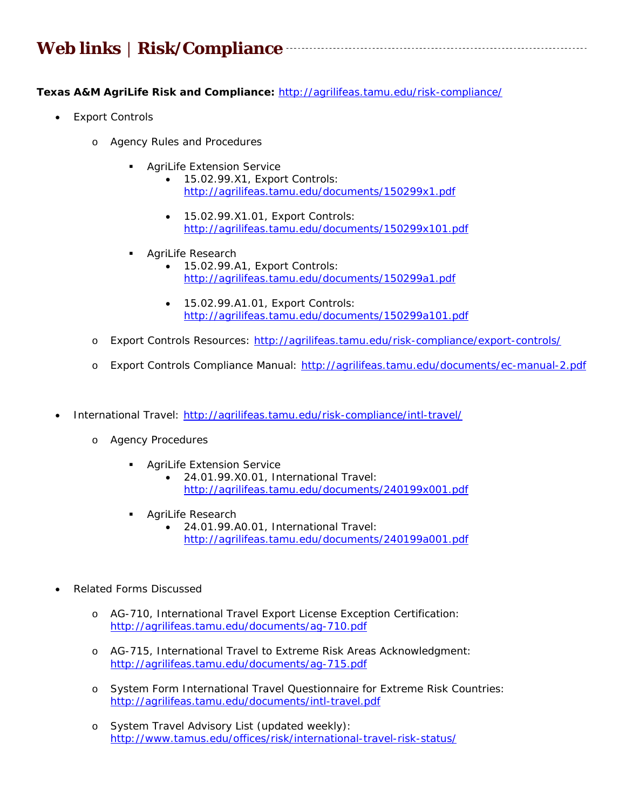# **Web links │ Risk/Compliance**

**Texas A&M AgriLife Risk and Compliance:** http://agrilifeas.tamu.edu/risk-compliance/

- *Export Controls* 
	- o Agency Rules and Procedures
		- AgriLife Extension Service
			- 15.02.99.X1, *Export Controls*: http://agrilifeas.tamu.edu/documents/150299x1.pdf

- 15.02.99.X1.01, *Export Controls*: http://agrilifeas.tamu.edu/documents/150299x101.pdf
- **AgriLife Research** 
	- 15.02.99.A1, *Export Controls*: http://agrilifeas.tamu.edu/documents/150299a1.pdf
	- 15.02.99.A1.01, *Export Controls*: http://agrilifeas.tamu.edu/documents/150299a101.pdf
- o Export Controls Resources: http://agrilifeas.tamu.edu/risk-compliance/export-controls/
- o Export Controls Compliance Manual: http://agrilifeas.tamu.edu/documents/ec-manual-2.pdf
- *International Travel*: http://agrilifeas.tamu.edu/risk-compliance/intl-travel/
	- o Agency Procedures
		- **AgriLife Extension Service** 
			- 24.01.99.X0.01, *International Travel*: http://agrilifeas.tamu.edu/documents/240199x001.pdf
		- **AgriLife Research** 
			- 24.01.99.A0.01, *International Travel*: http://agrilifeas.tamu.edu/documents/240199a001.pdf
- *Related Forms Discussed* 
	- o AG-710, *International Travel Export License Exception Certification*: http://agrilifeas.tamu.edu/documents/ag-710.pdf
	- o AG-715, *International Travel to Extreme Risk Areas Acknowledgment*: http://agrilifeas.tamu.edu/documents/ag-715.pdf
	- o System Form International Travel Questionnaire for Extreme Risk Countries: http://agrilifeas.tamu.edu/documents/intl-travel.pdf
	- o System Travel Advisory List (updated weekly): http://www.tamus.edu/offices/risk/international-travel-risk-status/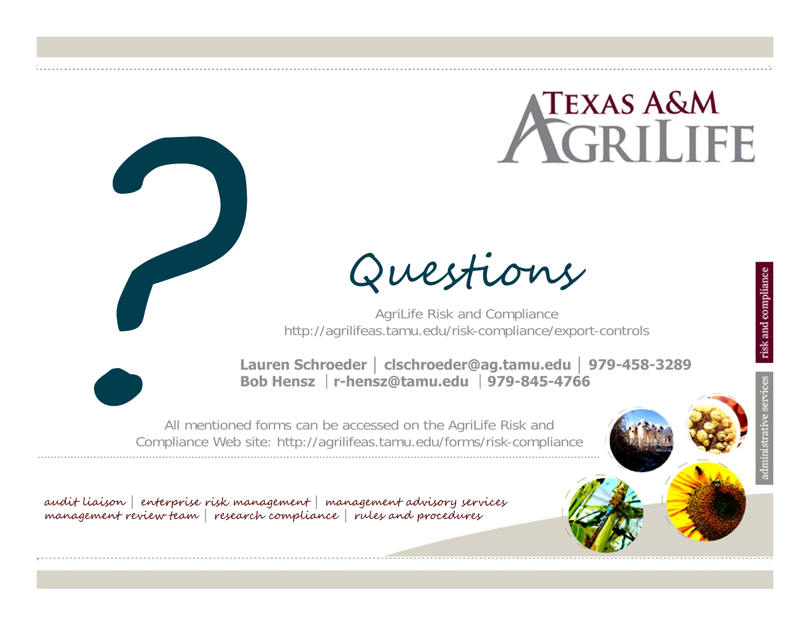# $\Gamma$ exas A&M **CRILIFE**

Questions

AgriLife Risk and Compliance http://agrilifeas.tamu.edu/risk-compliance/export-controls



**Lauren Schroeder │ clschroeder@ag.tamu.edu │ 979-458-3289Bob Hensz** │**r-hensz@tamu.edu** │**979-845-4766**

All mentioned forms can be accessed on the AgriLife Risk and Compliance Web site: http://agrilifeas.tamu.edu/forms/risk-compliance

audit liaison **│** enterprise risk management **│** management advisory services management review team **│** research compliance **│** rules and procedures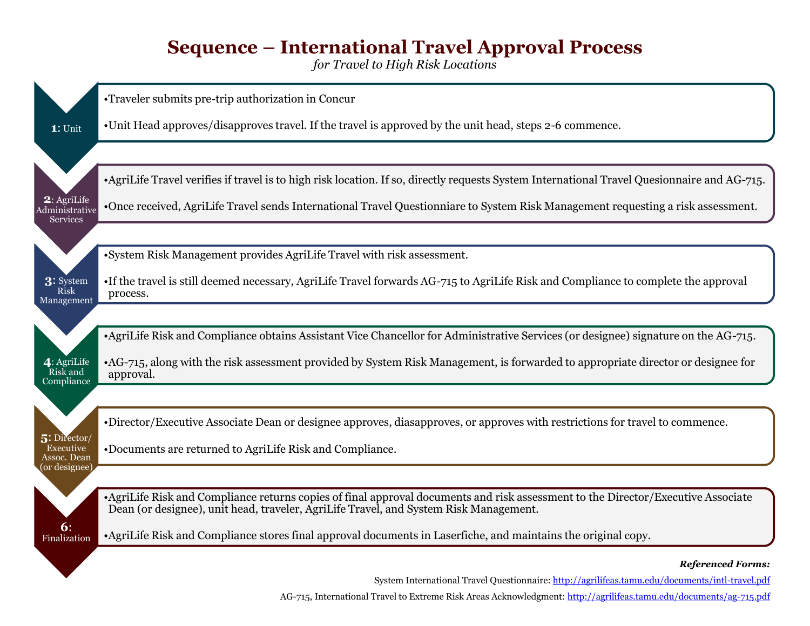# **Sequence – International Travel Approval Process**

*for Travel to High Risk Locations*



AG-715, International Travel to Extreme Risk Areas Acknowledgment:<http://agrilifeas.tamu.edu/documents/ag-715.pdf>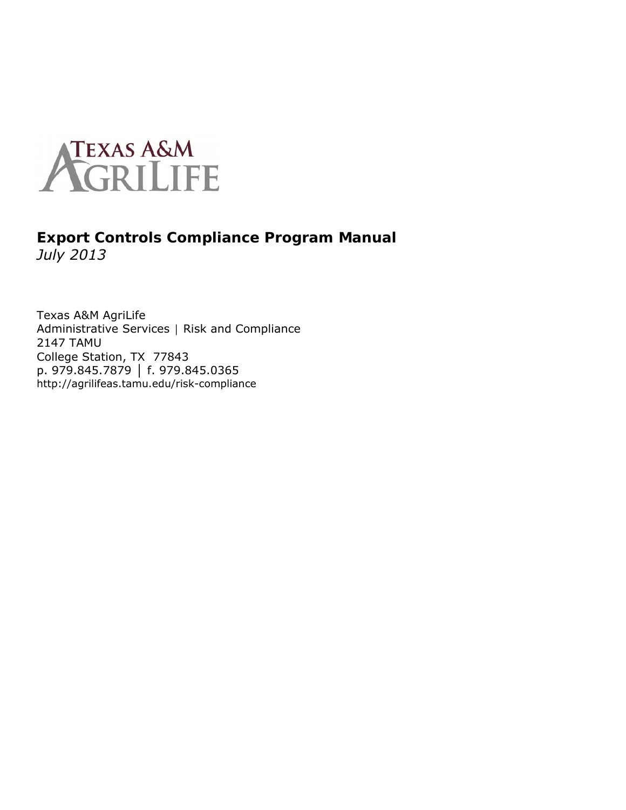

## **Export Controls Compliance Program Manual**  *July 2013*

Texas A&M AgriLife Administrative Services | Risk and Compliance 2147 TAMU College Station, TX 77843 p. 979.845.7879 │ f. 979.845.0365 http://agrilifeas.tamu.edu/risk-compliance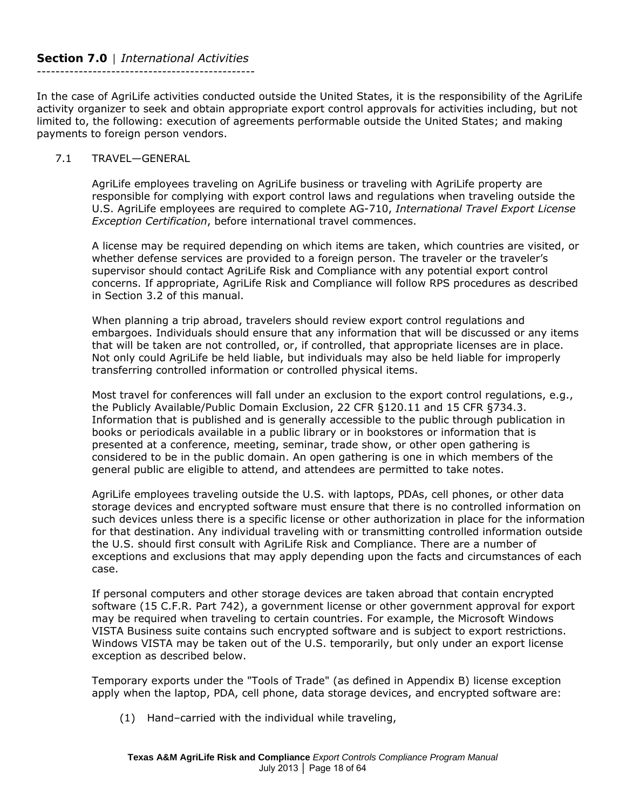#### **Section 7.0** │ *International Activities* -----------------------------------------------

In the case of AgriLife activities conducted outside the United States, it is the responsibility of the AgriLife activity organizer to seek and obtain appropriate export control approvals for activities including, but not limited to, the following: execution of agreements performable outside the United States; and making payments to foreign person vendors.

## 7.1 TRAVEL—GENERAL

AgriLife employees traveling on AgriLife business or traveling with AgriLife property are responsible for complying with export control laws and regulations when traveling outside the U.S. AgriLife employees are required to complete AG-710, *International Travel Export License Exception Certification*, before international travel commences.

A license may be required depending on which items are taken, which countries are visited, or whether defense services are provided to a foreign person. The traveler or the traveler's supervisor should contact AgriLife Risk and Compliance with any potential export control concerns. If appropriate, AgriLife Risk and Compliance will follow RPS procedures as described in Section 3.2 of this manual.

When planning a trip abroad, travelers should review export control regulations and embargoes. Individuals should ensure that any information that will be discussed or any items that will be taken are not controlled, or, if controlled, that appropriate licenses are in place. Not only could AgriLife be held liable, but individuals may also be held liable for improperly transferring controlled information or controlled physical items.

Most travel for conferences will fall under an exclusion to the export control regulations, e.g., the Publicly Available/Public Domain Exclusion, 22 CFR §120.11 and 15 CFR §734.3. Information that is published and is generally accessible to the public through publication in books or periodicals available in a public library or in bookstores or information that is presented at a conference, meeting, seminar, trade show, or other open gathering is considered to be in the public domain. An open gathering is one in which members of the general public are eligible to attend, and attendees are permitted to take notes.

AgriLife employees traveling outside the U.S. with laptops, PDAs, cell phones, or other data storage devices and encrypted software must ensure that there is no controlled information on such devices unless there is a specific license or other authorization in place for the information for that destination. Any individual traveling with or transmitting controlled information outside the U.S. should first consult with AgriLife Risk and Compliance. There are a number of exceptions and exclusions that may apply depending upon the facts and circumstances of each case.

If personal computers and other storage devices are taken abroad that contain encrypted software (15 C.F.R. Part 742), a government license or other government approval for export may be required when traveling to certain countries. For example, the Microsoft Windows VISTA Business suite contains such encrypted software and is subject to export restrictions. Windows VISTA may be taken out of the U.S. temporarily, but only under an export license exception as described below.

Temporary exports under the "Tools of Trade" (as defined in Appendix B) license exception apply when the laptop, PDA, cell phone, data storage devices, and encrypted software are:

(1) Hand–carried with the individual while traveling,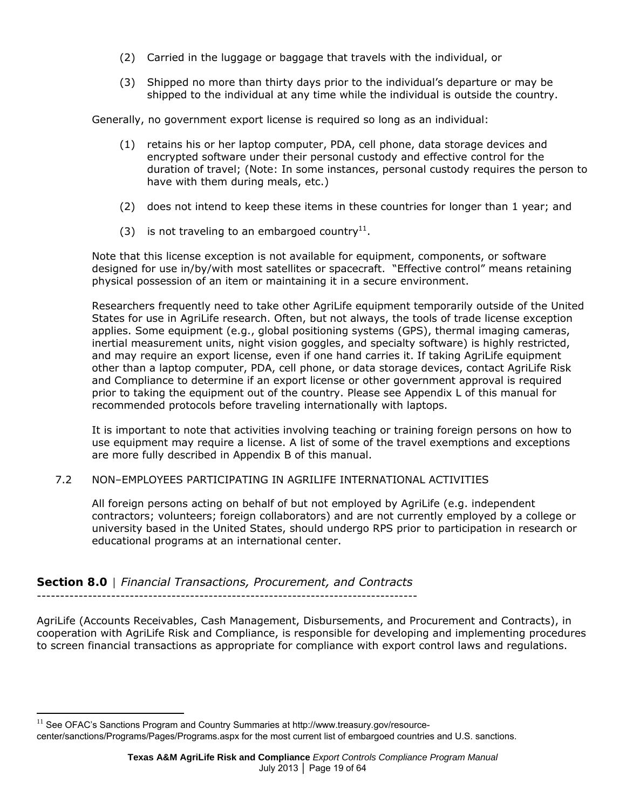- (2) Carried in the luggage or baggage that travels with the individual, or
- (3) Shipped no more than thirty days prior to the individual's departure or may be shipped to the individual at any time while the individual is outside the country.

Generally, no government export license is required so long as an individual:

- (1) retains his or her laptop computer, PDA, cell phone, data storage devices and encrypted software under their personal custody and effective control for the duration of travel; (Note: In some instances, personal custody requires the person to have with them during meals, etc.)
- (2) does not intend to keep these items in these countries for longer than 1 year; and
- (3) is not traveling to an embargoed country<sup>11</sup>.

Note that this license exception is not available for equipment, components, or software designed for use in/by/with most satellites or spacecraft. "Effective control" means retaining physical possession of an item or maintaining it in a secure environment.

Researchers frequently need to take other AgriLife equipment temporarily outside of the United States for use in AgriLife research. Often, but not always, the tools of trade license exception applies. Some equipment (e.g., global positioning systems (GPS), thermal imaging cameras, inertial measurement units, night vision goggles, and specialty software) is highly restricted, and may require an export license, even if one hand carries it. If taking AgriLife equipment other than a laptop computer, PDA, cell phone, or data storage devices, contact AgriLife Risk and Compliance to determine if an export license or other government approval is required prior to taking the equipment out of the country. Please see Appendix L of this manual for recommended protocols before traveling internationally with laptops.

It is important to note that activities involving teaching or training foreign persons on how to use equipment may require a license. A list of some of the travel exemptions and exceptions are more fully described in Appendix B of this manual.

## 7.2 NON–EMPLOYEES PARTICIPATING IN AGRILIFE INTERNATIONAL ACTIVITIES

All foreign persons acting on behalf of but not employed by AgriLife (e.g. independent contractors; volunteers; foreign collaborators) and are not currently employed by a college or university based in the United States, should undergo RPS prior to participation in research or educational programs at an international center.

**Section 8.0** │ *Financial Transactions, Procurement, and Contracts*

AgriLife (Accounts Receivables, Cash Management, Disbursements, and Procurement and Contracts), in cooperation with AgriLife Risk and Compliance, is responsible for developing and implementing procedures to screen financial transactions as appropriate for compliance with export control laws and regulations.

 $\overline{a}$ 

 $11$  See OFAC's Sanctions Program and Country Summaries at http://www.treasury.gov/resource-

center/sanctions/Programs/Pages/Programs.aspx for the most current list of embargoed countries and U.S. sanctions.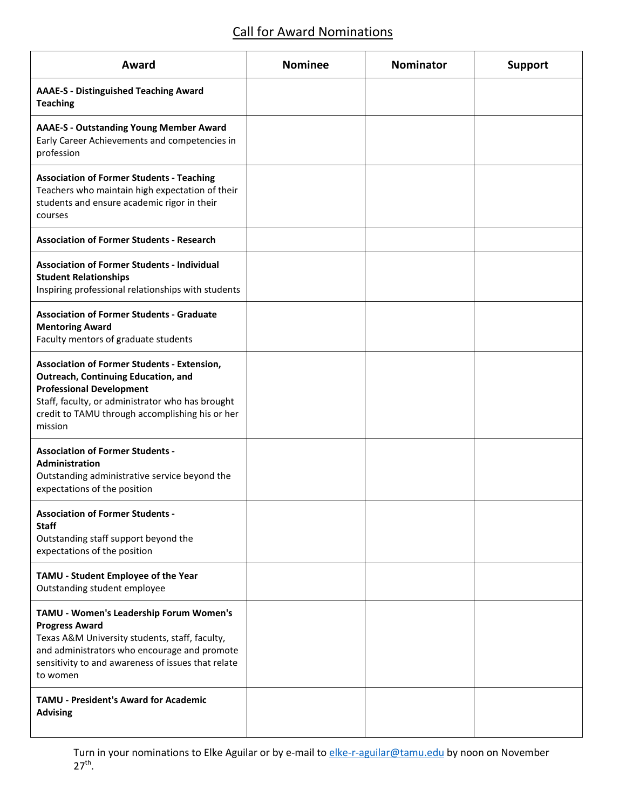# Call for Award Nominations

| Award                                                                                                                                                                                                                                          | <b>Nominee</b> | <b>Nominator</b> | <b>Support</b> |
|------------------------------------------------------------------------------------------------------------------------------------------------------------------------------------------------------------------------------------------------|----------------|------------------|----------------|
| <b>AAAE-S - Distinguished Teaching Award</b><br><b>Teaching</b>                                                                                                                                                                                |                |                  |                |
| <b>AAAE-S - Outstanding Young Member Award</b><br>Early Career Achievements and competencies in<br>profession                                                                                                                                  |                |                  |                |
| <b>Association of Former Students - Teaching</b><br>Teachers who maintain high expectation of their<br>students and ensure academic rigor in their<br>courses                                                                                  |                |                  |                |
| <b>Association of Former Students - Research</b>                                                                                                                                                                                               |                |                  |                |
| <b>Association of Former Students - Individual</b><br><b>Student Relationships</b><br>Inspiring professional relationships with students                                                                                                       |                |                  |                |
| <b>Association of Former Students - Graduate</b><br><b>Mentoring Award</b><br>Faculty mentors of graduate students                                                                                                                             |                |                  |                |
| <b>Association of Former Students - Extension,</b><br>Outreach, Continuing Education, and<br><b>Professional Development</b><br>Staff, faculty, or administrator who has brought<br>credit to TAMU through accomplishing his or her<br>mission |                |                  |                |
| <b>Association of Former Students -</b><br>Administration<br>Outstanding administrative service beyond the<br>expectations of the position                                                                                                     |                |                  |                |
| <b>Association of Former Students -</b><br><b>Staff</b><br>Outstanding staff support beyond the<br>expectations of the position                                                                                                                |                |                  |                |
| TAMU - Student Employee of the Year<br>Outstanding student employee                                                                                                                                                                            |                |                  |                |
| TAMU - Women's Leadership Forum Women's<br><b>Progress Award</b><br>Texas A&M University students, staff, faculty,<br>and administrators who encourage and promote<br>sensitivity to and awareness of issues that relate<br>to women           |                |                  |                |
| <b>TAMU - President's Award for Academic</b><br><b>Advising</b>                                                                                                                                                                                |                |                  |                |

Turn in your nominations to Elke Aguilar or by e-mail to [elke-r-aguilar@tamu.edu](mailto:elke-r-aguilar@tamu.edu) by noon on November  $27^{th}$ .